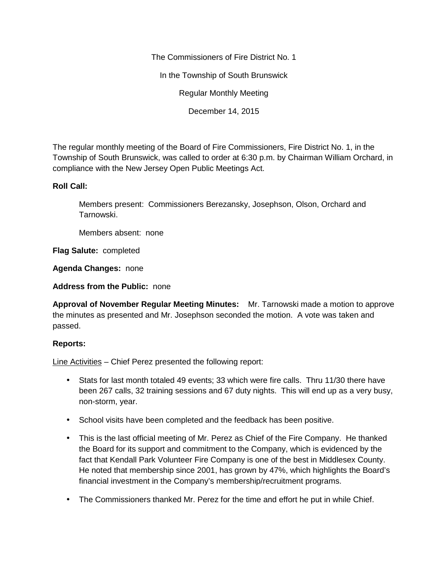The Commissioners of Fire District No. 1

In the Township of South Brunswick

Regular Monthly Meeting

December 14, 2015

The regular monthly meeting of the Board of Fire Commissioners, Fire District No. 1, in the Township of South Brunswick, was called to order at 6:30 p.m. by Chairman William Orchard, in compliance with the New Jersey Open Public Meetings Act.

## **Roll Call:**

Members present: Commissioners Berezansky, Josephson, Olson, Orchard and Tarnowski.

Members absent: none

**Flag Salute:** completed

**Agenda Changes:** none

**Address from the Public:** none

**Approval of November Regular Meeting Minutes:** Mr. Tarnowski made a motion to approve the minutes as presented and Mr. Josephson seconded the motion. A vote was taken and passed.

## **Reports:**

Line Activities – Chief Perez presented the following report:

- Stats for last month totaled 49 events; 33 which were fire calls. Thru 11/30 there have been 267 calls, 32 training sessions and 67 duty nights. This will end up as a very busy, non-storm, year.
- School visits have been completed and the feedback has been positive.
- This is the last official meeting of Mr. Perez as Chief of the Fire Company. He thanked the Board for its support and commitment to the Company, which is evidenced by the fact that Kendall Park Volunteer Fire Company is one of the best in Middlesex County. He noted that membership since 2001, has grown by 47%, which highlights the Board's financial investment in the Company's membership/recruitment programs.
- The Commissioners thanked Mr. Perez for the time and effort he put in while Chief.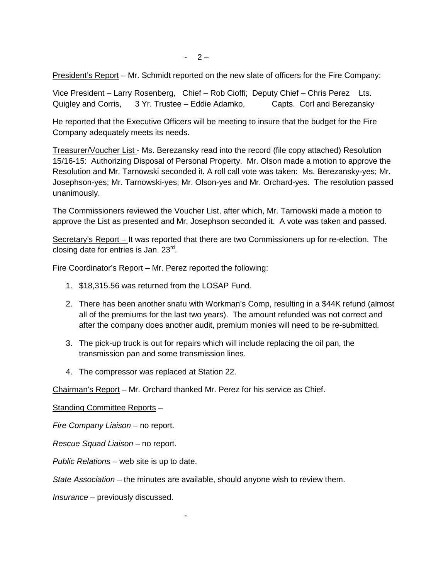President's Report – Mr. Schmidt reported on the new slate of officers for the Fire Company:

Vice President – Larry Rosenberg, Chief – Rob Cioffi; Deputy Chief – Chris Perez Lts. Quigley and Corris, 3 Yr. Trustee – Eddie Adamko, Capts. Corl and Berezansky

He reported that the Executive Officers will be meeting to insure that the budget for the Fire Company adequately meets its needs.

Treasurer/Voucher List - Ms. Berezansky read into the record (file copy attached) Resolution 15/16-15: Authorizing Disposal of Personal Property. Mr. Olson made a motion to approve the Resolution and Mr. Tarnowski seconded it. A roll call vote was taken: Ms. Berezansky-yes; Mr. Josephson-yes; Mr. Tarnowski-yes; Mr. Olson-yes and Mr. Orchard-yes. The resolution passed unanimously.

The Commissioners reviewed the Voucher List, after which, Mr. Tarnowski made a motion to approve the List as presented and Mr. Josephson seconded it. A vote was taken and passed.

Secretary's Report – It was reported that there are two Commissioners up for re-election. The closing date for entries is Jan. 23<sup>rd</sup>.

Fire Coordinator's Report – Mr. Perez reported the following:

- 1. \$18,315.56 was returned from the LOSAP Fund.
- 2. There has been another snafu with Workman's Comp, resulting in a \$44K refund (almost all of the premiums for the last two years). The amount refunded was not correct and after the company does another audit, premium monies will need to be re-submitted.
- 3. The pick-up truck is out for repairs which will include replacing the oil pan, the transmission pan and some transmission lines.
- 4. The compressor was replaced at Station 22.

Chairman's Report – Mr. Orchard thanked Mr. Perez for his service as Chief.

Standing Committee Reports –

*Fire Company Liaison –* no report.

*Rescue Squad Liaison –* no report.

*Public Relations* – web site is up to date.

*State Association –* the minutes are available, should anyone wish to review them.

-

*Insurance* – previously discussed.